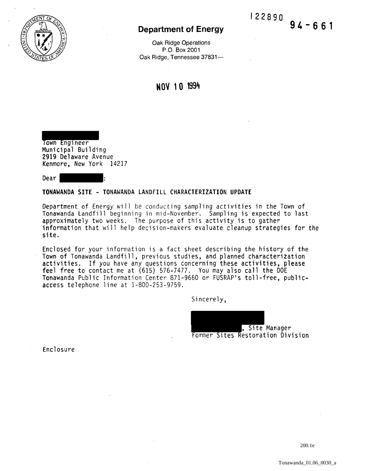

Oak Ridge Operations P.O. Box 2001 Oak Ridge, Tennessee 37831-

NOV 1 0 1994

Town Engineer Municipal Building 2919 Delaware Avenue Kenmore, New York 14217

Dear

### TONAWANDA SITE - TONAWANDA LANDFILL CHARACTERIZATION UPDATE

Department of Energy will be conducting sampling activities in the Town of Tonawanda Landfill beginning in mid-November. Sampling is expected to last approximately two weeks. The purpose of this activity is to gather information that will help decision-makers evaluate cleanup strategies for the site.

Enclosed for your information is a fact sheet describing the history of the Town of Tonawanda Landfill, previous studies, and planned characterization activities. If you have any questions concerning these activities, please feel free to contact me at (615) 576-7477. You may also call the DOE Tonawanda Public Information Center 871-9660 or FUSRAP's toll-free, publicaccess telephone line at 1-800-253-9759.

Sincerely,

, Site Manager Former Sites Restoration Division

Enclosure

 $9'4 - 661$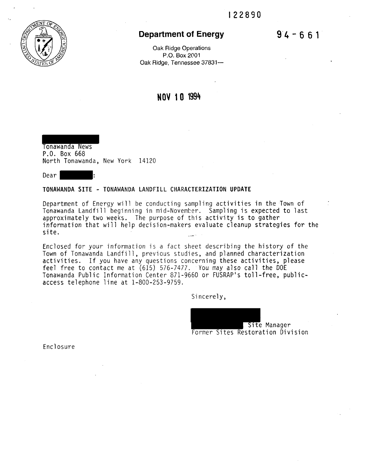$94 - 661$ 



# **Department of Energy**

Oak Ridge Operations P.O. Box 2001 Oak Ridge, Tennessee 37831-

# **NOV 1 0 1994**

Tonawanda News P.O. Box 668 North Tonawanda, New York 14120

Dear |

### TONAWANDA SITE - TONAWANDA LANDFILL CHARACTERIZATION UPDATE

Department of Energy will be conducting sampling activities in the Town of Tonawanda Landfill beginning in mid-November. Sampling is expected to last approximately two weeks. The purpose of this activity is to gather information that will help decision-makers evaluate cleanup strategies for the site.

Enclosed for your information is a fact sheet describing the history of the Town of Tonawanda Landfill, previous studies, and planned characterization activities. If you have any questions concerning these activities, please feel free to contact me at (615) 576-7477. You may also call the DOE Tonawanda Public Information Center 871-9660 or FUSRAP's toll-free, publicaccess telephone line at 1-800-253-9759.

Sincerely,

Site Manager

Former Sites Restoration Division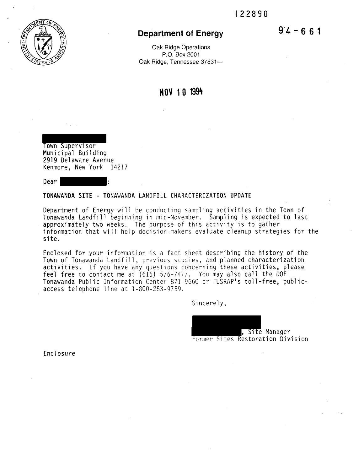

Oak Ridge Operations P.O. Box 2001 Oak Ridge, Tennessee 37831-

# **NOV 1 0 199't**

Town Supervisor

Municipal Building 2919 Delaware Avenue Kenmore, New York 14217

Dear |

#### **TONAWANDA SITE** - TONAWANDA LANDFILL CHARACTERIZATION **UPDATE**

Department of Energy will be conducting sampling activities in the Town of Tonawanda Landfill beginning in mid-November. Sampling is expected to last approximately two weeks. The purpose of this activity is to gather information that will help decision-makers evaluate cleanup strategies for the site.

Enclosed for your information is a fact sheet describing the history of the Town of Tonawanda Landfill, previous studies, and planned characterization activities. If you have any questions concerning these activities, please feel free to contact me at (615) 576-74//. You may also call the DOE T<mark>onawanda Public Infor</mark>mation Center 871-9660 or FUSRAP's toll-free, publicaccess telephone line at 1-800-253-9759.

Sincerely,

, Site Manager Former Sites Restoration Division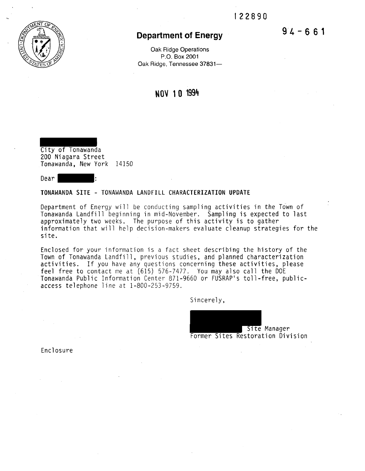

Oak Ridge Operations P.O. Box 2001 Oak Ridge, Tennessee 37831-

**NOV 1 0 1994** 

City of Tonawanda 200 Niagara Street Tonawanda, New York 14150

Dear |

### **TONAWANDA SITE** - TONAWANDA LANDFILL **CHARACTERIZATION UPDATE**

Department of Energy wil1 be conducting sampling activities in the Town of Tonawanda Landfill beginning in mid-November. Sampling is expected to last approximately two weeks. The purpose of this activity is to gather information that will help decision-makers evaluate cleanup strategies for the site.

Enclosed for your information is a fact sheet describing the history of the Town of Tonawanda Landfill, previous studies, and planned characterization activities. If you have any questions concerning these activities, please feel free to contact me at (615) 576-7477. You may also call the DOE Tonawanda Public Information Center 871-9660 or FUSRAP's toll-free, publicaccess telephone line at 1-800-253-9759.

Sincerely,

Site Manager

Former Sites Restoration Division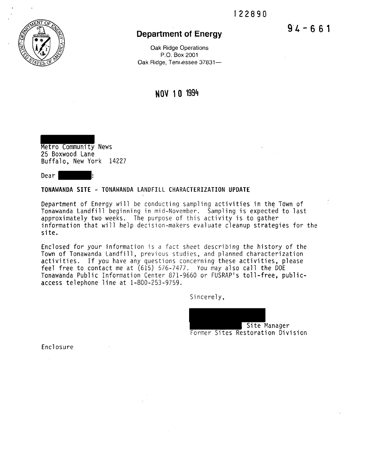

Oak Ridge Operations P.O. Box 2001 Oak Ridge, Tennessee 37831-

# **NOV 1 0 1994**

Metro Community News 25 Boxwood Lane Buffalo, New York 14227

Dear |

### **TONAWANDA SITE** - TONAWANDA LANDFILL CHARACTERIZATION **UPDATE**

Department of Energy will be conducting sampling activities in the Town of Tonawanda Landfill beginning in mid-November. Sampling is expected to last approximately two weeks. The purpose of this activity is to gather information that will help decision-makers evaluate cleanup strategies for the site.

Enclosed for your information is a fact sheet describing the history of the Town of Tonawanda Landfill, previous studies, and planned characterization activities. If you have any questions concerning these activities, please feel free to contact me at (615) 576-7477. You may also call the DOE Tonawanda Public Information Center 871-9660 or FUSRAP's toll-free, publicaccess telephone line at 1-800-253-9759.

Sincerely,

Site Manager Former Sites Restoration Division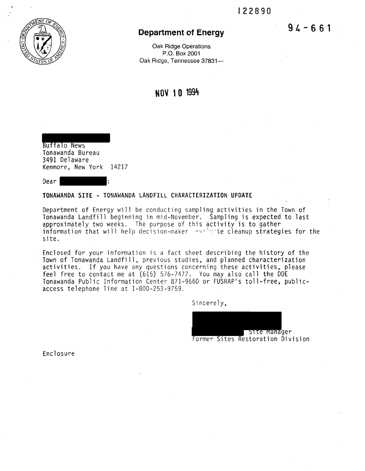

Oak Ridge Operations P.O. Box 2001 Oak Ridge, Tennessee 37831-

**NOV 1 0 1994** 

Buffalo News Tonawanda Bureau 3491 Delaware Kenmore, New York 14217

Dear :

#### **TONAWANDA SITE** - TONAWANDA LANDFILL CHARACTERIZATION **UPDATE**

Department of Energy will be conducting sampling activities in the Town of Tonawanda Landfill beginning in mid-November. Sampling is expected to last information that will help decision-maker  $\sim$   $\sim$   $\sim$   $\sim$  cleanup strategies for the site.

Enclosed for your information is a fact sheet describing the history of the Town of Tonawanda Landfill, previous studies, and planned characterization activities. If you have any questions concerning these activities, please feel free to contact me at (615) 576-7477. You may also call the DOE Tonawanda Public Information Center 871-9660 or FUSRAP's toll-free, publicaccess telephone line at 1-800-253-9759.

Sincerely,

Site Manager Former Sites Restoration Division